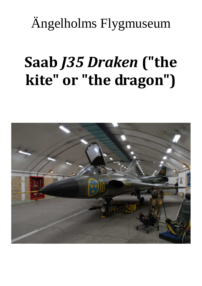Ängelholms Flygmuseum

## Saab J35 Draken ("the kite" or "the dragon")

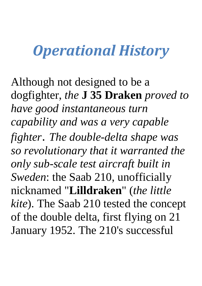## Operational History

Although not designed to be a dogfighter, *the* **J 35 Draken** *proved to have good instantaneous turn capability and was a very capable fighter*. *The double-delta shape was so revolutionary that it warranted the only sub-scale test aircraft built in Sweden*: the Saab 210, unofficially nicknamed "**Lilldraken**" (*the little kite*). The Saab 210 tested the concept of the double delta, first flying on 21 January 1952. The 210's successful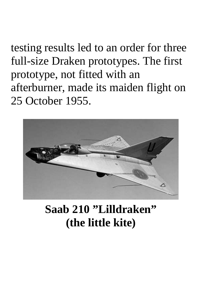testing results led to an order for three full-size Draken prototypes. The first prototype, not fitted with an afterburner, made its maiden flight on 25 October 1955.



## **Saab 210 "Lilldraken" (the little kite)**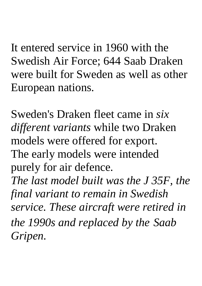It entered service in 1960 with the Swedish Air Force; 644 Saab Draken were built for Sweden as well as other European nations.

Sweden's Draken fleet came in *six different variants* while two Draken models were offered for export. The early models were intended purely for air defence.

*The last model built was the J 35F, the final variant to remain in Swedish service. These aircraft were retired in the 1990s and replaced by the Saab Gripen.*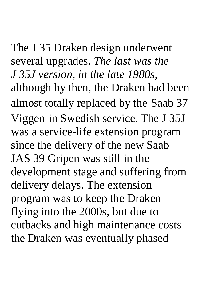The J 35 Draken design underwent several upgrades. *The last was the J 35J version, in the late 1980s*, although by then, the Draken had been almost totally replaced by the Saab 37 Viggen in Swedish service. The J 35J was a service-life extension program since the delivery of the new Saab JAS 39 Gripen was still in the development stage and suffering from delivery delays. The extension program was to keep the Draken flying into the 2000s, but due to cutbacks and high maintenance costs the Draken was eventually phased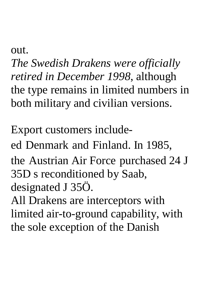out.

*The Swedish Drakens were officially retired in December 1998*, although the type remains in limited numbers in both military and civilian versions.

Export customers includeed Denmark and Finland. In 1985, the Austrian Air Force purchased 24 J 35D s reconditioned by Saab, designated J 35Ö. All Drakens are interceptors with

limited air-to-ground capability, with the sole exception of the Danish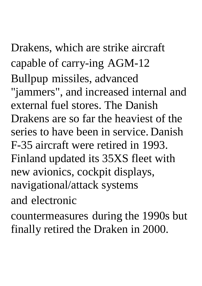Drakens, which are strike aircraft capable of carry-ing AGM-12 Bullpup missiles, advanced "jammers", and increased internal and external fuel stores. The Danish Drakens are so far the heaviest of the series to have been in service. Danish F-35 aircraft were retired in 1993. Finland updated its 35XS fleet with new avionics, cockpit displays, navigational/attack systems

and electronic

countermeasures during the 1990s but finally retired the Draken in 2000.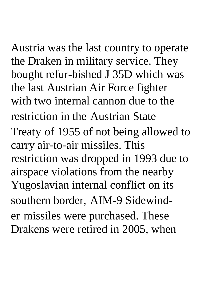Austria was the last country to operate the Draken in military service. They bought refur-bished J 35D which was the last Austrian Air Force fighter with two internal cannon due to the restriction in the Austrian State Treaty of 1955 of not being allowed to carry air-to-air missiles. This restriction was dropped in 1993 due to airspace violations from the nearby Yugoslavian internal conflict on its southern border, AIM-9 Sidewinder missiles were purchased. These Drakens were retired in 2005, when